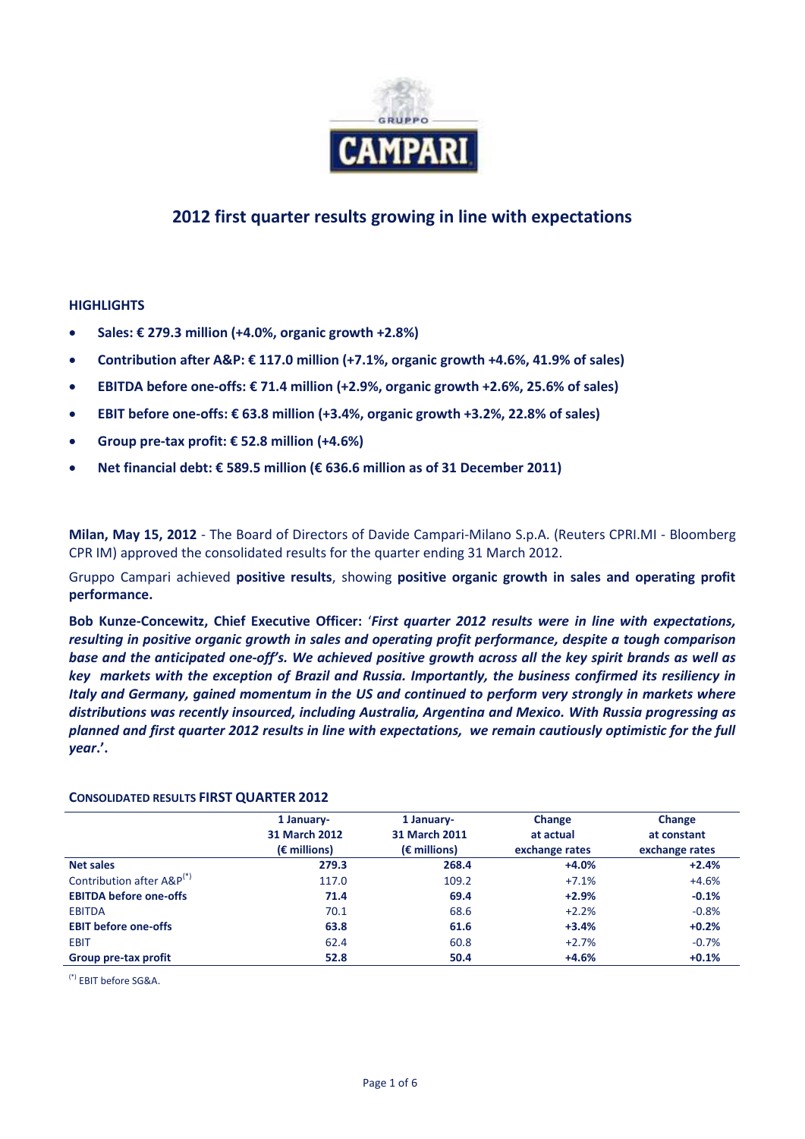

# **2012 first quarter results growing in line with expectations**

### **HIGHLIGHTS**

- **Sales: € 279.3 million (+4.0%, organic growth +2.8%)**
- **Contribution after A&P: € 117.0 million (+7.1%, organic growth +4.6%, 41.9% of sales)**
- **EBITDA before one-offs: € 71.4 million (+2.9%, organic growth +2.6%, 25.6% of sales)**
- **EBIT before one-offs: € 63.8 million (+3.4%, organic growth +3.2%, 22.8% of sales)**
- **Group pre-tax profit: € 52.8 million (+4.6%)**
- **Net financial debt: € 589.5 million (€ 636.6 million as of 31 December 2011)**

**Milan, May 15, 2012** - The Board of Directors of Davide Campari-Milano S.p.A. (Reuters CPRI.MI - Bloomberg CPR IM) approved the consolidated results for the quarter ending 31 March 2012.

Gruppo Campari achieved **positive results**, showing **positive organic growth in sales and operating profit performance.**

**Bob Kunze-Concewitz, Chief Executive Officer:** '*First quarter 2012 results were in line with expectations, resulting in positive organic growth in sales and operating profit performance, despite a tough comparison base and the anticipated one-off's. We achieved positive growth across all the key spirit brands as well as key markets with the exception of Brazil and Russia. Importantly, the business confirmed its resiliency in Italy and Germany, gained momentum in the US and continued to perform very strongly in markets where distributions was recently insourced, including Australia, Argentina and Mexico. With Russia progressing as planned and first quarter 2012 results in line with expectations, we remain cautiously optimistic for the full year***.'.**

|                                       | 1 January-<br>31 March 2012<br>$(\epsilon$ millions) | 1 January-<br>31 March 2011<br>$(\epsilon$ millions) | Change<br>at actual<br>exchange rates | Change<br>at constant<br>exchange rates |
|---------------------------------------|------------------------------------------------------|------------------------------------------------------|---------------------------------------|-----------------------------------------|
| <b>Net sales</b>                      | 279.3                                                | 268.4                                                | $+4.0%$                               | $+2.4%$                                 |
| Contribution after A&P <sup>(*)</sup> | 117.0                                                | 109.2                                                | $+7.1%$                               | $+4.6%$                                 |
| <b>EBITDA before one-offs</b>         | 71.4                                                 | 69.4                                                 | $+2.9%$                               | $-0.1%$                                 |
| <b>EBITDA</b>                         | 70.1                                                 | 68.6                                                 | $+2.2%$                               | $-0.8%$                                 |
| <b>EBIT before one-offs</b>           | 63.8                                                 | 61.6                                                 | $+3.4%$                               | $+0.2%$                                 |
| <b>EBIT</b>                           | 62.4                                                 | 60.8                                                 | $+2.7%$                               | $-0.7%$                                 |
| Group pre-tax profit                  | 52.8                                                 | 50.4                                                 | $+4.6%$                               | $+0.1%$                                 |

### **CONSOLIDATED RESULTS FIRST QUARTER 2012**

(\*) EBIT before SG&A.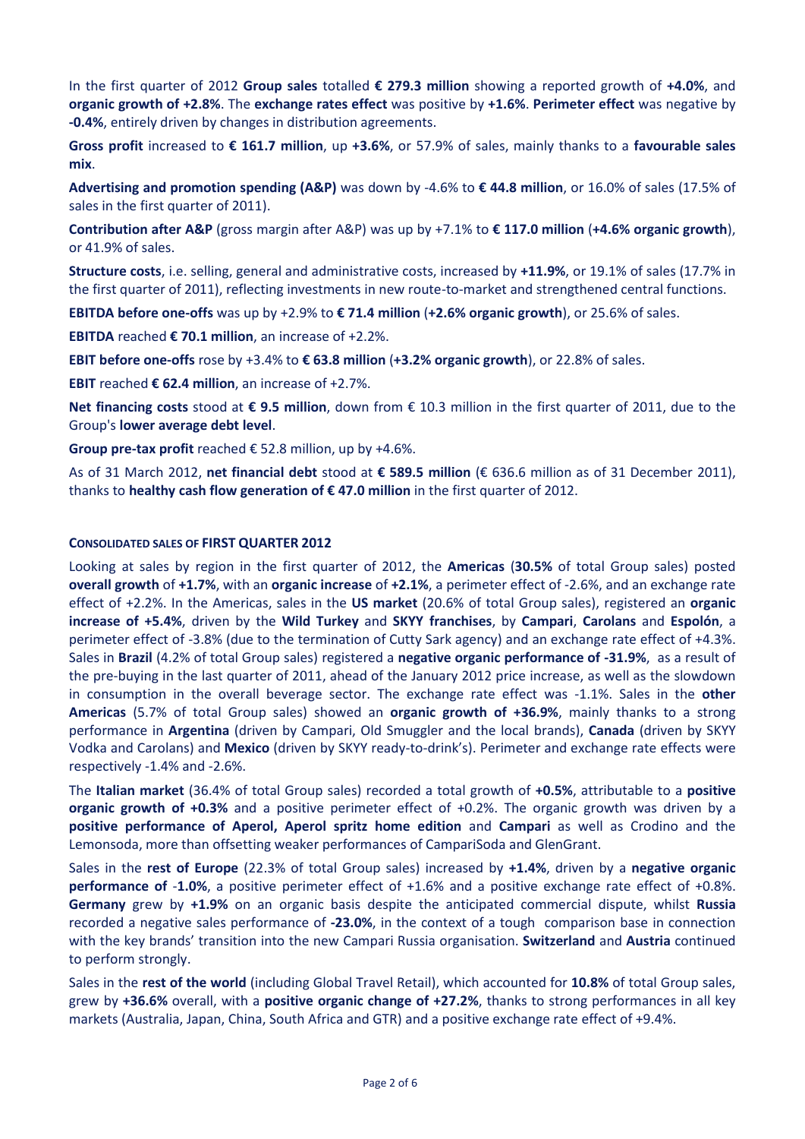In the first quarter of 2012 **Group sales** totalled **€ 279.3 million** showing a reported growth of **+4.0%**, and **organic growth of +2.8%**. The **exchange rates effect** was positive by **+1.6%**. **Perimeter effect** was negative by **-0.4%**, entirely driven by changes in distribution agreements.

**Gross profit** increased to **€ 161.7 million**, up **+3.6%**, or 57.9% of sales, mainly thanks to a **favourable sales mix**.

**Advertising and promotion spending (A&P)** was down by -4.6% to **€ 44.8 million**, or 16.0% of sales (17.5% of sales in the first quarter of 2011).

**Contribution after A&P** (gross margin after A&P) was up by +7.1% to **€ 117.0 million** (**+4.6% organic growth**), or 41.9% of sales.

**Structure costs**, i.e. selling, general and administrative costs, increased by **+11.9%**, or 19.1% of sales (17.7% in the first quarter of 2011), reflecting investments in new route-to-market and strengthened central functions.

**EBITDA before one-offs** was up by +2.9% to **€ 71.4 million** (**+2.6% organic growth**), or 25.6% of sales.

**EBITDA** reached **€ 70.1 million**, an increase of +2.2%.

**EBIT before one-offs** rose by +3.4% to **€ 63.8 million** (**+3.2% organic growth**), or 22.8% of sales.

**EBIT** reached **€ 62.4 million**, an increase of +2.7%.

**Net financing costs** stood at **€ 9.5 million**, down from € 10.3 million in the first quarter of 2011, due to the Group's **lower average debt level**.

**Group pre-tax profit** reached € 52.8 million, up by +4.6%.

As of 31 March 2012, **net financial debt** stood at **€ 589.5 million** (€ 636.6 million as of 31 December 2011), thanks to **healthy cash flow generation of € 47.0 million** in the first quarter of 2012.

### **CONSOLIDATED SALES OF FIRST QUARTER 2012**

Looking at sales by region in the first quarter of 2012, the **Americas** (**30.5%** of total Group sales) posted **overall growth** of **+1.7%**, with an **organic increase** of **+2.1%**, a perimeter effect of -2.6%, and an exchange rate effect of +2.2%. In the Americas, sales in the **US market** (20.6% of total Group sales), registered an **organic increase of +5.4%**, driven by the **Wild Turkey** and **SKYY franchises**, by **Campari**, **Carolans** and **Espolón**, a perimeter effect of -3.8% (due to the termination of Cutty Sark agency) and an exchange rate effect of +4.3%. Sales in **Brazil** (4.2% of total Group sales) registered a **negative organic performance of -31.9%**, as a result of the pre-buying in the last quarter of 2011, ahead of the January 2012 price increase, as well as the slowdown in consumption in the overall beverage sector. The exchange rate effect was -1.1%. Sales in the **other Americas** (5.7% of total Group sales) showed an **organic growth of +36.9%**, mainly thanks to a strong performance in **Argentina** (driven by Campari, Old Smuggler and the local brands), **Canada** (driven by SKYY Vodka and Carolans) and **Mexico** (driven by SKYY ready-to-drink's). Perimeter and exchange rate effects were respectively -1.4% and -2.6%.

The **Italian market** (36.4% of total Group sales) recorded a total growth of **+0.5%**, attributable to a **positive organic growth of +0.3%** and a positive perimeter effect of +0.2%. The organic growth was driven by a **positive performance of Aperol, Aperol spritz home edition** and **Campari** as well as Crodino and the Lemonsoda, more than offsetting weaker performances of CampariSoda and GlenGrant.

Sales in the **rest of Europe** (22.3% of total Group sales) increased by **+1.4%**, driven by a **negative organic performance of** -**1.0%**, a positive perimeter effect of +1.6% and a positive exchange rate effect of +0.8%. **Germany** grew by **+1.9%** on an organic basis despite the anticipated commercial dispute, whilst **Russia**  recorded a negative sales performance of **-23.0%**, in the context of a tough comparison base in connection with the key brands' transition into the new Campari Russia organisation. **Switzerland** and **Austria** continued to perform strongly.

Sales in the **rest of the world** (including Global Travel Retail), which accounted for **10.8%** of total Group sales, grew by **+36.6%** overall, with a **positive organic change of +27.2%**, thanks to strong performances in all key markets (Australia, Japan, China, South Africa and GTR) and a positive exchange rate effect of +9.4%.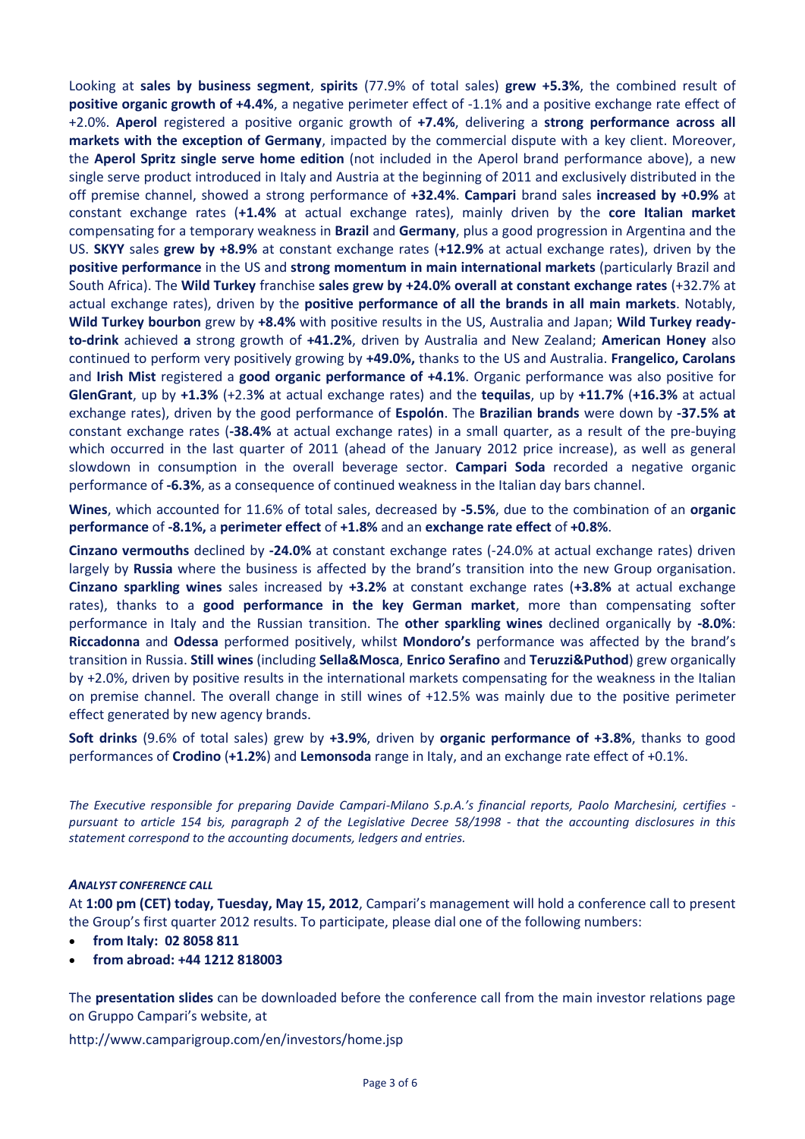Looking at **sales by business segment**, **spirits** (77.9% of total sales) **grew +5.3%**, the combined result of **positive organic growth of +4.4%**, a negative perimeter effect of -1.1% and a positive exchange rate effect of +2.0%. **Aperol** registered a positive organic growth of **+7.4%**, delivering a **strong performance across all markets with the exception of Germany**, impacted by the commercial dispute with a key client. Moreover, the **Aperol Spritz single serve home edition** (not included in the Aperol brand performance above), a new single serve product introduced in Italy and Austria at the beginning of 2011 and exclusively distributed in the off premise channel, showed a strong performance of **+32.4%**. **Campari** brand sales **increased by +0.9%** at constant exchange rates (**+1.4%** at actual exchange rates), mainly driven by the **core Italian market** compensating for a temporary weakness in **Brazil** and **Germany**, plus a good progression in Argentina and the US. **SKYY** sales **grew by +8.9%** at constant exchange rates (**+12.9%** at actual exchange rates), driven by the **positive performance** in the US and **strong momentum in main international markets** (particularly Brazil and South Africa). The **Wild Turkey** franchise **sales grew by +24.0% overall at constant exchange rates** (+32.7% at actual exchange rates), driven by the **positive performance of all the brands in all main markets**. Notably, **Wild Turkey bourbon** grew by **+8.4%** with positive results in the US, Australia and Japan; **Wild Turkey readyto-drink** achieved **a** strong growth of **+41.2%**, driven by Australia and New Zealand; **American Honey** also continued to perform very positively growing by **+49.0%,** thanks to the US and Australia. **Frangelico, Carolans**  and **Irish Mist** registered a **good organic performance of +4.1%**. Organic performance was also positive for **GlenGrant**, up by **+1.3%** (+2.3**%** at actual exchange rates) and the **tequilas**, up by **+11.7%** (**+16.3%** at actual exchange rates), driven by the good performance of **Espolón**. The **Brazilian brands** were down by **-37.5% at**  constant exchange rates (**-38.4%** at actual exchange rates) in a small quarter, as a result of the pre-buying which occurred in the last quarter of 2011 (ahead of the January 2012 price increase), as well as general slowdown in consumption in the overall beverage sector. **Campari Soda** recorded a negative organic performance of **-6.3%**, as a consequence of continued weakness in the Italian day bars channel.

**Wines**, which accounted for 11.6% of total sales, decreased by **-5.5%**, due to the combination of an **organic performance** of **-8.1%,** a **perimeter effect** of **+1.8%** and an **exchange rate effect** of **+0.8%**.

**Cinzano vermouths** declined by **-24.0%** at constant exchange rates (-24.0% at actual exchange rates) driven largely by **Russia** where the business is affected by the brand's transition into the new Group organisation. **Cinzano sparkling wines** sales increased by **+3.2%** at constant exchange rates (**+3.8%** at actual exchange rates), thanks to a **good performance in the key German market**, more than compensating softer performance in Italy and the Russian transition. The **other sparkling wines** declined organically by **-8.0%**: **Riccadonna** and **Odessa** performed positively, whilst **Mondoro's** performance was affected by the brand's transition in Russia. **Still wines** (including **Sella&Mosca**, **Enrico Serafino** and **Teruzzi&Puthod**) grew organically by +2.0%, driven by positive results in the international markets compensating for the weakness in the Italian on premise channel. The overall change in still wines of +12.5% was mainly due to the positive perimeter effect generated by new agency brands.

**Soft drinks** (9.6% of total sales) grew by **+3.9%**, driven by **organic performance of +3.8%**, thanks to good performances of **Crodino** (**+1.2%**) and **Lemonsoda** range in Italy, and an exchange rate effect of +0.1%.

*The Executive responsible for preparing Davide Campari-Milano S.p.A.'s financial reports, Paolo Marchesini, certifies pursuant to article 154 bis, paragraph 2 of the Legislative Decree 58/1998 - that the accounting disclosures in this statement correspond to the accounting documents, ledgers and entries.* 

## *ANALYST CONFERENCE CALL*

At **1:00 pm (CET) today, Tuesday, May 15, 2012**, Campari's management will hold a conference call to present the Group's first quarter 2012 results. To participate, please dial one of the following numbers:

- **from Italy: 02 8058 811**
- **from abroad: +44 1212 818003**

The **presentation slides** can be downloaded before the conference call from the main investor relations page on Gruppo Campari's website, at

http://www.camparigroup.com/en/investors/home.jsp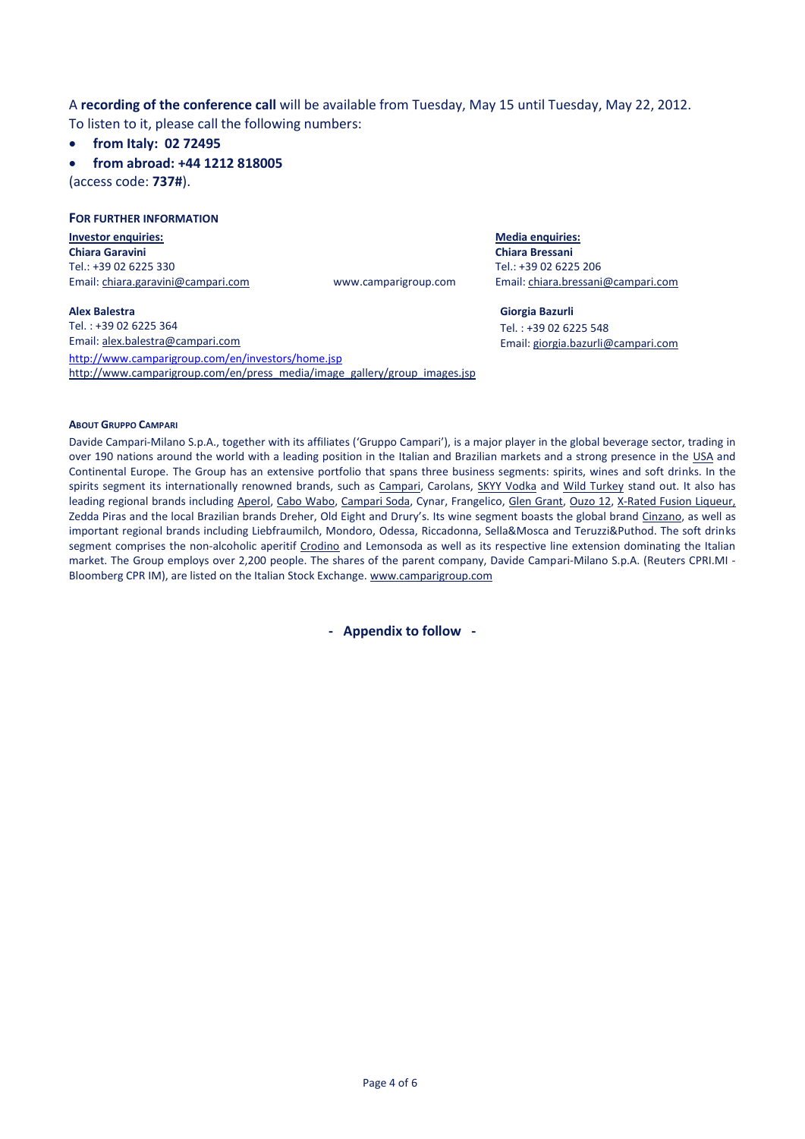A **recording of the conference call** will be available from Tuesday, May 15 until Tuesday, May 22, 2012. To listen to it, please call the following numbers:

- **from Italy: 02 72495**
- **from abroad: +44 1212 818005**

(access code: **737#**).

#### **FOR FURTHER INFORMATION**

**Investor enquiries: Media enquiries: Chiara Garavini Chiara Bressani** Tel.: +39 02 6225 330 Tel.: +39 02 6225 206 Email[: chiara.garavini@campari.com](mailto:chiara.garavini@campari.com) www.camparigroup.com Email: [chiara.bressani@campari.com](mailto:chiara.bressani@campari.com)

**Giorgia Bazurli** Tel. : +39 02 6225 548 Email[: giorgia.bazurli@campari.com](mailto:giorgia.bazurli@campari.com)

#### **Alex Balestra**

Tel. : +39 02 6225 364 Email[: alex.balestra@campari.com](mailto:alex.balestra@campari.com) <http://www.camparigroup.com/en/investors/home.jsp> [http://www.camparigroup.com/en/press\\_media/image\\_gallery/group\\_images.jsp](http://www.camparigroup.com/en/press_media/image_gallery/group_images.jsp)

#### **ABOUT GRUPPO CAMPARI**

Davide Campari-Milano S.p.A., together with its affiliates ('Gruppo Campari'), is a major player in the global beverage sector, trading in over 190 nations around the world with a leading position in the Italian and Brazilian markets and a strong presence in the USA and Continental Europe. The Group has an extensive portfolio that spans three business segments: spirits, wines and soft drinks. In the spirits segment its internationally renowned brands, such as [Campari,](http://www.campari.com/) Carolans, [SKYY Vodka](http://www.skyy.com/) and Wild Turkey stand out. It also has leading regional brands includin[g Aperol,](http://www.aperol.com/) [Cabo Wabo,](http://www.cabowabo.com/) [Campari Soda,](http://www.camparisoda.it/) Cynar, Frangelico, [Glen Grant,](http://www.glengrant.com/) [Ouzo 12,](http://www.ouzo12.gr/) [X-Rated](http://www.xratedfusion.com/) Fusion Liqueur, Zedda Piras and the local Brazilian brands Dreher, Old Eight and Drury's. Its wine segment boasts the global brand [Cinzano,](http://www.cinzano.com/) as well as important regional brands including Liebfraumilch, Mondoro, Odessa, Riccadonna, Sella&Mosca and Teruzzi&Puthod. The soft drinks segment comprises the non-alcoholic aperitif [Crodino](http://www.crodino.it/) and Lemonsoda as well as its respective line extension dominating the Italian market. The Group employs over 2,200 people. The shares of the parent company, Davide Campari-Milano S.p.A. (Reuters CPRI.MI - Bloomberg CPR IM), are listed on the Italian Stock Exchange. [www.camparigroup.com](http://www.camparigroup.com/)

**- Appendix to follow -**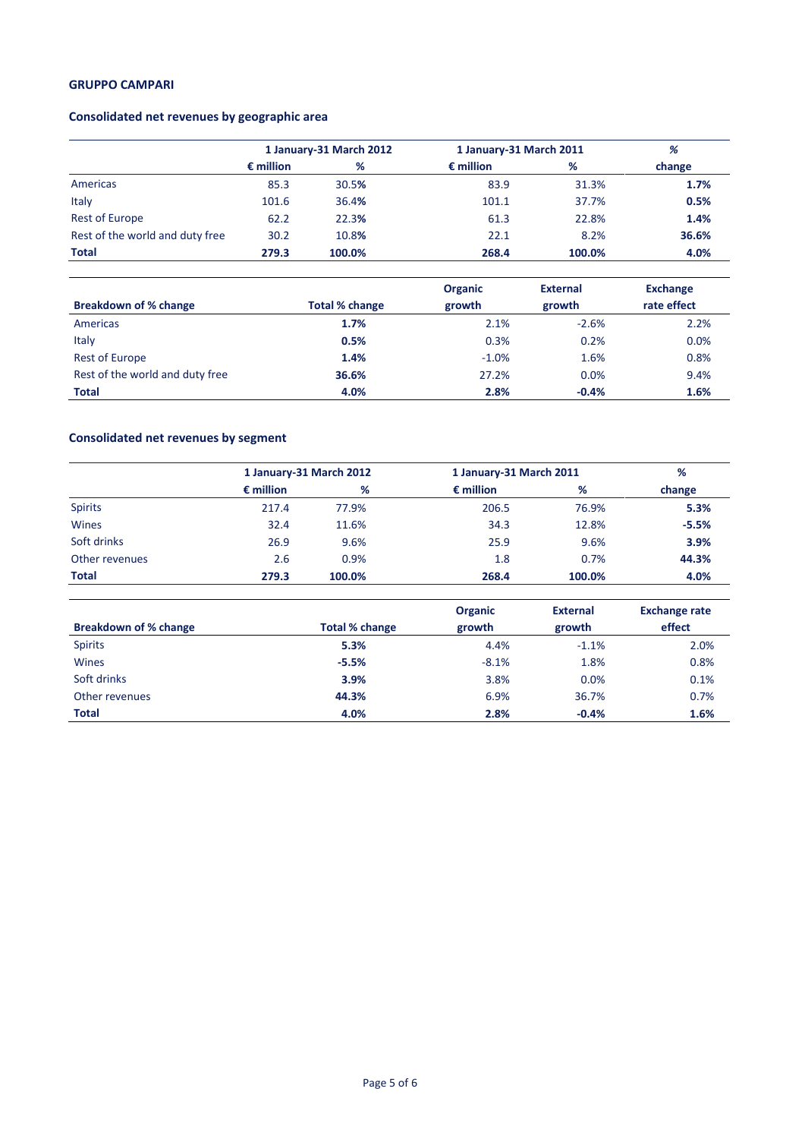# **GRUPPO CAMPARI**

# **Consolidated net revenues by geographic area**

|                                 | 1 January-31 March 2012 |        | 1 January-31 March 2011 |        | %      |  |
|---------------------------------|-------------------------|--------|-------------------------|--------|--------|--|
|                                 | $\epsilon$ million      | %      | $\epsilon$ million      | %      | change |  |
| Americas                        | 85.3                    | 30.5%  | 83.9                    | 31.3%  | 1.7%   |  |
| Italy                           | 101.6                   | 36.4%  | 101.1                   | 37.7%  | 0.5%   |  |
| <b>Rest of Europe</b>           | 62.2                    | 22.3%  | 61.3                    | 22.8%  | 1.4%   |  |
| Rest of the world and duty free | 30.2                    | 10.8%  | 22.1                    | 8.2%   | 36.6%  |  |
| <b>Total</b>                    | 279.3                   | 100.0% | 268.4                   | 100.0% | 4.0%   |  |

| <b>Breakdown of % change</b>    | Total % change | <b>Organic</b><br>growth | <b>External</b><br>growth | Exchange<br>rate effect |
|---------------------------------|----------------|--------------------------|---------------------------|-------------------------|
| Americas                        | 1.7%           | 2.1%                     | $-2.6%$                   | 2.2%                    |
| Italy                           | 0.5%           | 0.3%                     | 0.2%                      | 0.0%                    |
| <b>Rest of Europe</b>           | 1.4%           | $-1.0%$                  | 1.6%                      | 0.8%                    |
| Rest of the world and duty free | 36.6%          | 27.2%                    | 0.0%                      | 9.4%                    |
| <b>Total</b>                    | 4.0%           | 2.8%                     | $-0.4%$                   | 1.6%                    |

# **Consolidated net revenues by segment**

|                | 1 January-31 March 2012 |        | 1 January-31 March 2011 |        | %       |  |
|----------------|-------------------------|--------|-------------------------|--------|---------|--|
|                | $\epsilon$ million      | %      | $\epsilon$ million      | %      | change  |  |
| <b>Spirits</b> | 217.4                   | 77.9%  | 206.5                   | 76.9%  | 5.3%    |  |
| Wines          | 32.4                    | 11.6%  | 34.3                    | 12.8%  | $-5.5%$ |  |
| Soft drinks    | 26.9                    | 9.6%   | 25.9                    | 9.6%   | 3.9%    |  |
| Other revenues | 2.6                     | 0.9%   | 1.8                     | 0.7%   | 44.3%   |  |
| <b>Total</b>   | 279.3                   | 100.0% | 268.4                   | 100.0% | 4.0%    |  |

| Breakdown of % change | <b>Total % change</b> | <b>Organic</b><br>growth | <b>External</b><br>growth | <b>Exchange rate</b><br>effect |
|-----------------------|-----------------------|--------------------------|---------------------------|--------------------------------|
|                       |                       |                          |                           |                                |
| <b>Spirits</b>        | 5.3%                  | 4.4%                     | $-1.1%$                   | 2.0%                           |
| Wines                 | $-5.5%$               | $-8.1%$                  | 1.8%                      | 0.8%                           |
| Soft drinks           | 3.9%                  | 3.8%                     | 0.0%                      | 0.1%                           |
| Other revenues        | 44.3%                 | 6.9%                     | 36.7%                     | 0.7%                           |
| <b>Total</b>          | 4.0%                  | 2.8%                     | $-0.4%$                   | 1.6%                           |